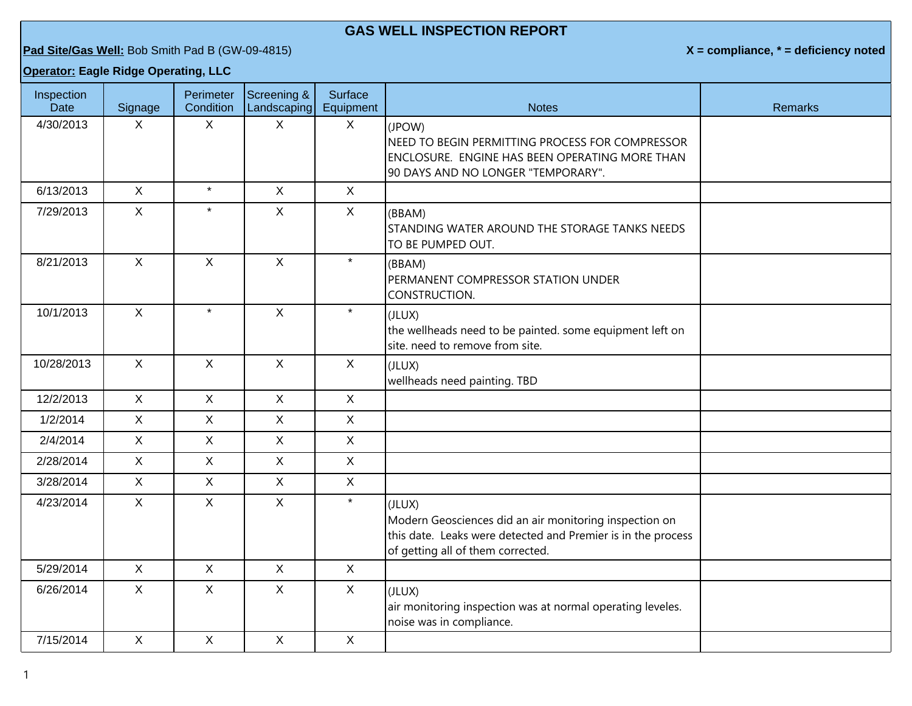## **GAS WELL INSPECTION REPORT**

**Pad Site/Gas Well:** Bob Smith Pad B (GW-09-4815) **X = compliance, \* = deficiency noted**

**Operator: Eagle Ridge Operating, LLC**

| Inspection<br>Date | Signage        | Perimeter<br>Condition | Screening &<br>Landscaping | Surface<br>Equipment | <b>Notes</b>                                                                                                                                                          | Remarks |
|--------------------|----------------|------------------------|----------------------------|----------------------|-----------------------------------------------------------------------------------------------------------------------------------------------------------------------|---------|
| 4/30/2013          | $\mathsf{X}$   | $\mathsf{X}$           | X                          | $\mathsf{X}$         | (JPOW)<br>NEED TO BEGIN PERMITTING PROCESS FOR COMPRESSOR<br><b>ENCLOSURE. ENGINE HAS BEEN OPERATING MORE THAN</b><br>90 DAYS AND NO LONGER "TEMPORARY".              |         |
| 6/13/2013          | $\mathsf{X}$   | $\star$                | $\mathsf{X}$               | $\mathsf{X}$         |                                                                                                                                                                       |         |
| 7/29/2013          | $\mathsf{X}$   | $\star$                | $\mathsf{X}$               | $\mathsf{X}$         | (BBAM)<br>STANDING WATER AROUND THE STORAGE TANKS NEEDS<br>TO BE PUMPED OUT.                                                                                          |         |
| 8/21/2013          | $\mathsf{X}$   | $\mathsf{X}$           | $\mathsf{X}$               | $\star$              | (BBAM)<br>PERMANENT COMPRESSOR STATION UNDER<br>CONSTRUCTION.                                                                                                         |         |
| 10/1/2013          | $\mathsf{X}$   | $\star$                | $\mathsf{X}$               | $\star$              | (JLUX)<br>the wellheads need to be painted. some equipment left on<br>site, need to remove from site.                                                                 |         |
| 10/28/2013         | $\mathsf{X}$   | $\mathsf{X}$           | $\mathsf{X}$               | $\mathsf{X}$         | (JLUX)<br>wellheads need painting. TBD                                                                                                                                |         |
| 12/2/2013          | $\overline{X}$ | $\mathsf{X}$           | $\mathsf{X}$               | $\mathsf{X}$         |                                                                                                                                                                       |         |
| 1/2/2014           | $\mathsf{X}$   | $\mathsf{X}$           | $\mathsf{X}$               | $\mathsf{X}$         |                                                                                                                                                                       |         |
| 2/4/2014           | $\mathsf{X}$   | X                      | $\mathsf{X}$               | $\mathsf{X}$         |                                                                                                                                                                       |         |
| 2/28/2014          | $\mathsf{X}$   | $\mathsf{X}$           | $\mathsf{X}$               | $\mathsf X$          |                                                                                                                                                                       |         |
| 3/28/2014          | $\mathsf{X}$   | $\mathsf{X}$           | $\mathsf{X}$               | $\mathsf{X}$         |                                                                                                                                                                       |         |
| 4/23/2014          | $\mathsf{X}$   | $\mathsf{X}$           | $\mathsf{X}$               | $\star$              | (JLUX)<br>Modern Geosciences did an air monitoring inspection on<br>this date. Leaks were detected and Premier is in the process<br>of getting all of them corrected. |         |
| 5/29/2014          | $\mathsf{X}$   | $\mathsf{X}$           | $\mathsf{X}$               | $\mathsf{X}$         |                                                                                                                                                                       |         |
| 6/26/2014          | $\mathsf{X}$   | X                      | $\mathsf{X}$               | $\mathsf{X}$         | (JLUX)<br>air monitoring inspection was at normal operating leveles.<br>noise was in compliance.                                                                      |         |
| 7/15/2014          | $\mathsf{X}$   | $\mathsf{X}$           | $\mathsf{X}$               | $\mathsf{X}$         |                                                                                                                                                                       |         |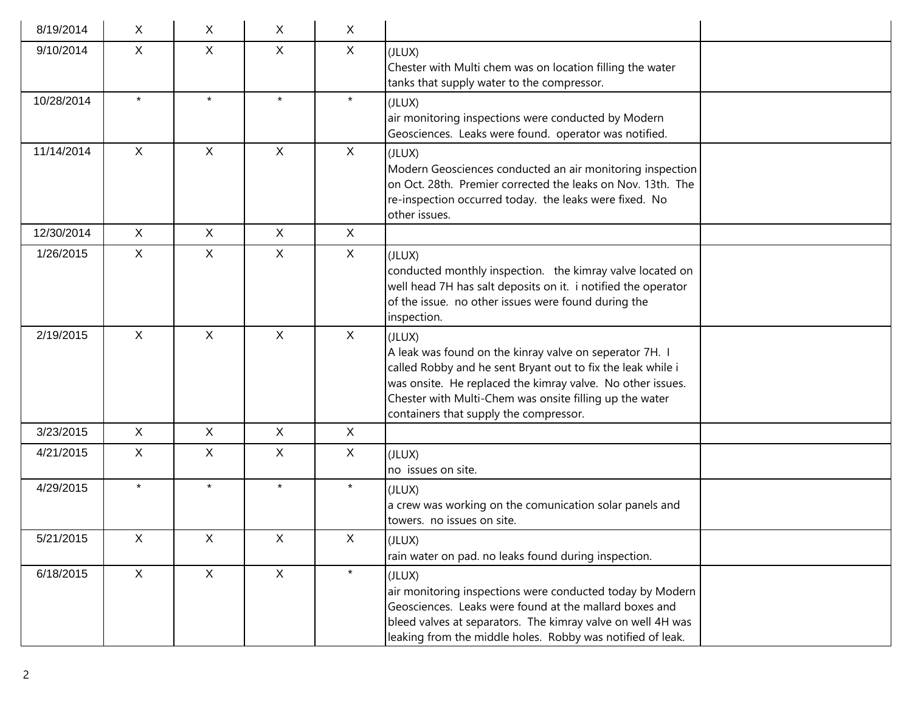| 8/19/2014  | X            | X            | X            | X            |                                                                                                                                                                                                                                                                                                     |  |
|------------|--------------|--------------|--------------|--------------|-----------------------------------------------------------------------------------------------------------------------------------------------------------------------------------------------------------------------------------------------------------------------------------------------------|--|
| 9/10/2014  | X            | X            | X            | $\mathsf{X}$ | (JLUX)<br>Chester with Multi chem was on location filling the water<br>tanks that supply water to the compressor.                                                                                                                                                                                   |  |
| 10/28/2014 | $\star$      | $\star$      | $\star$      | $\star$      | (JLUX)<br>air monitoring inspections were conducted by Modern<br>Geosciences. Leaks were found. operator was notified.                                                                                                                                                                              |  |
| 11/14/2014 | $\mathsf{X}$ | $\mathsf{X}$ | $\mathsf{X}$ | $\mathsf{X}$ | (JLUX)<br>Modern Geosciences conducted an air monitoring inspection<br>on Oct. 28th. Premier corrected the leaks on Nov. 13th. The<br>re-inspection occurred today. the leaks were fixed. No<br>other issues.                                                                                       |  |
| 12/30/2014 | $\mathsf{X}$ | X            | $\mathsf{X}$ | $\mathsf{X}$ |                                                                                                                                                                                                                                                                                                     |  |
| 1/26/2015  | $\mathsf{X}$ | X            | X            | X            | (JLUX)<br>conducted monthly inspection. the kimray valve located on<br>well head 7H has salt deposits on it. i notified the operator<br>of the issue. no other issues were found during the<br>inspection.                                                                                          |  |
| 2/19/2015  | $\sf X$      | X            | X            | $\mathsf{X}$ | (JLUX)<br>A leak was found on the kinray valve on seperator 7H. I<br>called Robby and he sent Bryant out to fix the leak while i<br>was onsite. He replaced the kimray valve. No other issues.<br>Chester with Multi-Chem was onsite filling up the water<br>containers that supply the compressor. |  |
| 3/23/2015  | $\mathsf{X}$ | $\mathsf{X}$ | $\mathsf{X}$ | $\sf X$      |                                                                                                                                                                                                                                                                                                     |  |
| 4/21/2015  | $\mathsf{X}$ | $\mathsf{X}$ | $\mathsf{X}$ | $\sf X$      | (JLUX)<br>no issues on site.                                                                                                                                                                                                                                                                        |  |
| 4/29/2015  | $\star$      | $\star$      | $\star$      | $\star$      | (JLUX)<br>a crew was working on the comunication solar panels and<br>towers. no issues on site.                                                                                                                                                                                                     |  |
| 5/21/2015  | Χ            | X            | X            | X            | (JLUX)<br>rain water on pad. no leaks found during inspection.                                                                                                                                                                                                                                      |  |
| 6/18/2015  | $\mathsf{X}$ | X            | $\mathsf{X}$ | $\star$      | (JLUX)<br>air monitoring inspections were conducted today by Modern<br>Geosciences. Leaks were found at the mallard boxes and<br>bleed valves at separators. The kimray valve on well 4H was<br>leaking from the middle holes. Robby was notified of leak.                                          |  |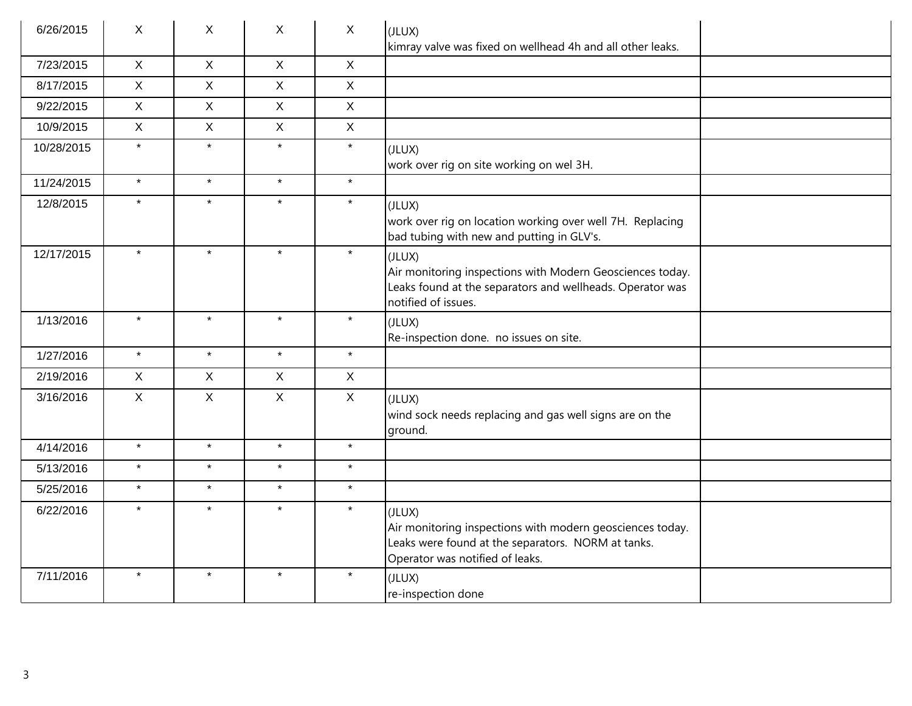| 6/26/2015  | $\mathsf{X}$ | X            | $\sf X$      | $\sf X$      | (JLUX)<br>kimray valve was fixed on wellhead 4h and all other leaks.                                                                                         |
|------------|--------------|--------------|--------------|--------------|--------------------------------------------------------------------------------------------------------------------------------------------------------------|
| 7/23/2015  | $\mathsf{X}$ | $\mathsf{X}$ | $\sf X$      | $\sf X$      |                                                                                                                                                              |
| 8/17/2015  | $\mathsf{X}$ | $\mathsf{X}$ | $\mathsf X$  | $\mathsf{X}$ |                                                                                                                                                              |
| 9/22/2015  | $\mathsf{X}$ | $\mathsf X$  | $\mathsf X$  | $\mathsf X$  |                                                                                                                                                              |
| 10/9/2015  | $\mathsf{X}$ | $\mathsf{X}$ | $\mathsf{X}$ | $\sf X$      |                                                                                                                                                              |
| 10/28/2015 | $\star$      | $\star$      | $\star$      | $\star$      | (JLUX)<br>work over rig on site working on wel 3H.                                                                                                           |
| 11/24/2015 | $\star$      | $\star$      | $\star$      | $\star$      |                                                                                                                                                              |
| 12/8/2015  | $\star$      | $\star$      | $\star$      | $\star$      | (JLUX)<br>work over rig on location working over well 7H. Replacing<br>bad tubing with new and putting in GLV's.                                             |
| 12/17/2015 | $\star$      | $\star$      | $\star$      | $\star$      | (JLUX)<br>Air monitoring inspections with Modern Geosciences today.<br>Leaks found at the separators and wellheads. Operator was<br>notified of issues.      |
| 1/13/2016  | $\star$      | $\star$      | $\star$      | $\star$      | (JLUX)<br>Re-inspection done. no issues on site.                                                                                                             |
| 1/27/2016  | $\star$      | $\star$      | $\star$      | $\star$      |                                                                                                                                                              |
| 2/19/2016  | $\mathsf{X}$ | $\mathsf{X}$ | $\mathsf{X}$ | $\sf X$      |                                                                                                                                                              |
| 3/16/2016  | $\mathsf{X}$ | $\mathsf{X}$ | $\mathsf{X}$ | $\sf X$      | (JLUX)<br>wind sock needs replacing and gas well signs are on the<br>ground.                                                                                 |
| 4/14/2016  | $\star$      | $\star$      | $\star$      | $\star$      |                                                                                                                                                              |
| 5/13/2016  | $\star$      | $\star$      | $\star$      | $\star$      |                                                                                                                                                              |
| 5/25/2016  | $\star$      | $\star$      | $\star$      | $\star$      |                                                                                                                                                              |
| 6/22/2016  | $\star$      | $\star$      | $\star$      | $\star$      | (JLUX)<br>Air monitoring inspections with modern geosciences today.<br>Leaks were found at the separators. NORM at tanks.<br>Operator was notified of leaks. |
| 7/11/2016  | $\star$      | $\star$      | $\star$      | $\star$      | (JLUX)<br>re-inspection done                                                                                                                                 |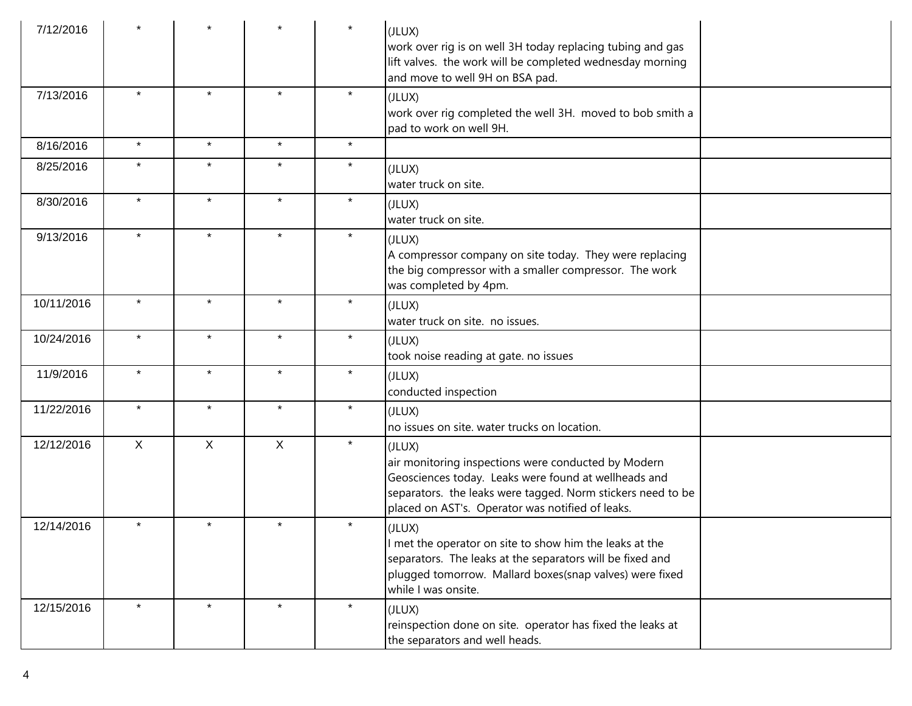| 7/12/2016  |         |         |         | $\star$ | (JLUX)<br>work over rig is on well 3H today replacing tubing and gas<br>lift valves. the work will be completed wednesday morning<br>and move to well 9H on BSA pad.                                                                     |  |
|------------|---------|---------|---------|---------|------------------------------------------------------------------------------------------------------------------------------------------------------------------------------------------------------------------------------------------|--|
| 7/13/2016  | $\star$ | $\star$ | $\star$ | $\star$ | (JLUX)<br>work over rig completed the well 3H. moved to bob smith a<br>pad to work on well 9H.                                                                                                                                           |  |
| 8/16/2016  | $\star$ | $\star$ | $\star$ | $\star$ |                                                                                                                                                                                                                                          |  |
| 8/25/2016  | $\star$ | $\star$ | $\star$ | $\star$ | (JLUX)<br>water truck on site.                                                                                                                                                                                                           |  |
| 8/30/2016  | $\star$ | $\star$ | $\star$ | $\star$ | (JLUX)<br>water truck on site.                                                                                                                                                                                                           |  |
| 9/13/2016  | $\star$ | $\star$ | $\star$ | $\star$ | (JLUX)<br>A compressor company on site today. They were replacing<br>the big compressor with a smaller compressor. The work<br>was completed by 4pm.                                                                                     |  |
| 10/11/2016 | $\star$ | $\star$ | $\star$ | $\star$ | (JLUX)<br>water truck on site. no issues.                                                                                                                                                                                                |  |
| 10/24/2016 | $\star$ | $\star$ | $\star$ | $\star$ | (JLUX)<br>took noise reading at gate. no issues                                                                                                                                                                                          |  |
| 11/9/2016  | $\star$ | $\star$ | $\star$ | $\star$ | (JLUX)<br>conducted inspection                                                                                                                                                                                                           |  |
| 11/22/2016 | $\star$ | $\star$ | $\star$ | $\star$ | (JLUX)<br>no issues on site. water trucks on location.                                                                                                                                                                                   |  |
| 12/12/2016 | $\sf X$ | $\sf X$ | X       | $\star$ | (JLUX)<br>air monitoring inspections were conducted by Modern<br>Geosciences today. Leaks were found at wellheads and<br>separators. the leaks were tagged. Norm stickers need to be<br>placed on AST's. Operator was notified of leaks. |  |
| 12/14/2016 | $\star$ | $\star$ | $\star$ | $\star$ | (JLUX)<br>I met the operator on site to show him the leaks at the<br>separators. The leaks at the separators will be fixed and<br>plugged tomorrow. Mallard boxes(snap valves) were fixed<br>while I was onsite.                         |  |
| 12/15/2016 | $\star$ | $\star$ | $\star$ | $\star$ | (JLUX)<br>reinspection done on site. operator has fixed the leaks at<br>the separators and well heads.                                                                                                                                   |  |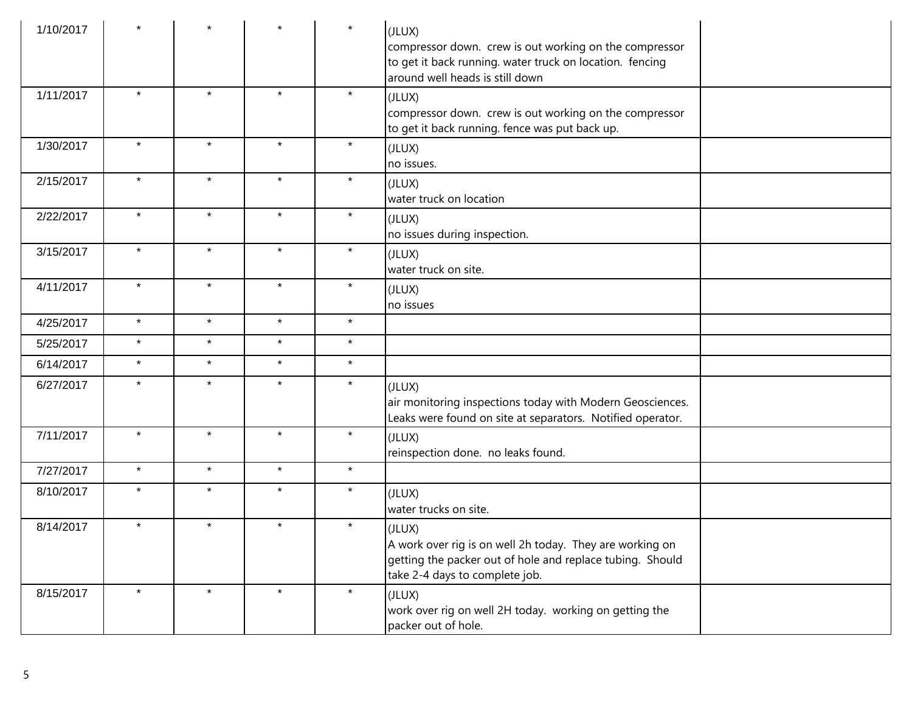| 1/10/2017 |         |         |         | $\star$ | (JLUX)<br>compressor down. crew is out working on the compressor<br>to get it back running. water truck on location. fencing<br>around well heads is still down   |
|-----------|---------|---------|---------|---------|-------------------------------------------------------------------------------------------------------------------------------------------------------------------|
| 1/11/2017 | $\star$ | $\star$ | $\star$ | $\star$ | (JLUX)<br>compressor down. crew is out working on the compressor<br>to get it back running. fence was put back up.                                                |
| 1/30/2017 | $\star$ | $\star$ | $\star$ | $\star$ | (JLUX)<br>no issues.                                                                                                                                              |
| 2/15/2017 | $\star$ | $\star$ | $\star$ | $\star$ | (JLUX)<br>water truck on location                                                                                                                                 |
| 2/22/2017 | $\star$ | $\star$ | $\star$ | $\star$ | (JLUX)<br>no issues during inspection.                                                                                                                            |
| 3/15/2017 | $\star$ | $\star$ | $\star$ | $\star$ | (JLUX)<br>water truck on site.                                                                                                                                    |
| 4/11/2017 | $\star$ | $\star$ | $\star$ | $\star$ | (JLUX)<br>no issues                                                                                                                                               |
| 4/25/2017 | $\star$ | $\star$ | $\star$ | $\star$ |                                                                                                                                                                   |
| 5/25/2017 | $\star$ | $\star$ | $\star$ | $\star$ |                                                                                                                                                                   |
| 6/14/2017 | $\star$ | $\star$ | $\star$ | $\star$ |                                                                                                                                                                   |
| 6/27/2017 | $\star$ | $\star$ | $\star$ | $\star$ | (JLUX)<br>air monitoring inspections today with Modern Geosciences.<br>Leaks were found on site at separators. Notified operator.                                 |
| 7/11/2017 | $\star$ | $\star$ | $\star$ | $\star$ | (JLUX)<br>reinspection done. no leaks found.                                                                                                                      |
| 7/27/2017 | $\star$ | $\star$ | $\star$ | $\star$ |                                                                                                                                                                   |
| 8/10/2017 | $\star$ | $\star$ | $\star$ | $\star$ | (JLUX)<br>water trucks on site.                                                                                                                                   |
| 8/14/2017 | $\star$ | $\star$ | $\star$ | $\star$ | (JLUX)<br>A work over rig is on well 2h today. They are working on<br>getting the packer out of hole and replace tubing. Should<br>take 2-4 days to complete job. |
| 8/15/2017 | $\star$ | $\star$ | $\star$ | $\star$ | (JLUX)<br>work over rig on well 2H today. working on getting the<br>packer out of hole.                                                                           |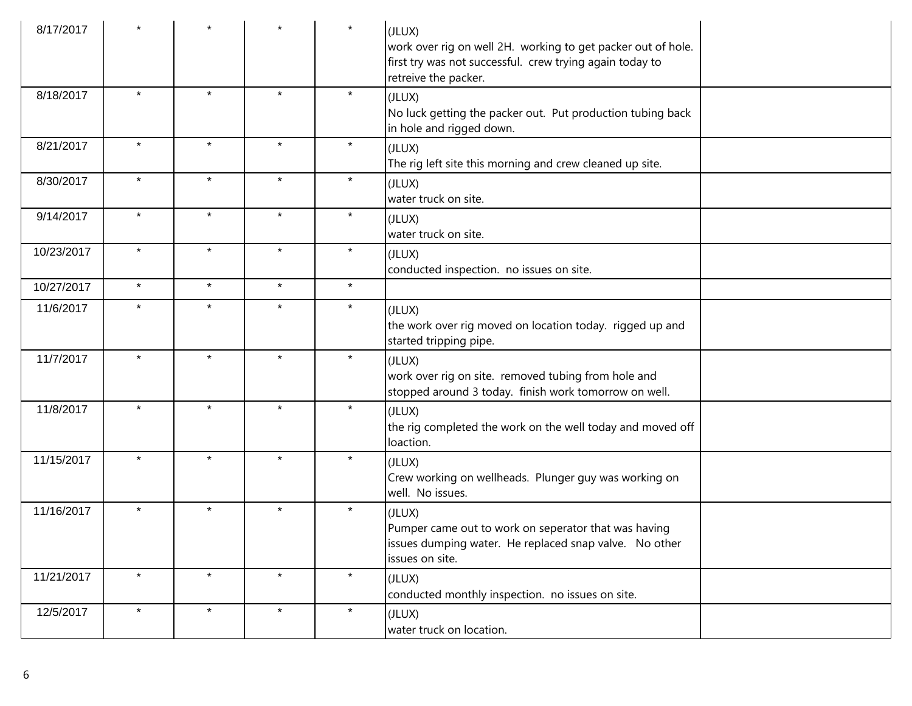| 8/17/2017  |         |         |         | $\star$ | (JLUX)<br>work over rig on well 2H. working to get packer out of hole.<br>first try was not successful. crew trying again today to<br>retreive the packer. |
|------------|---------|---------|---------|---------|------------------------------------------------------------------------------------------------------------------------------------------------------------|
| 8/18/2017  | $\star$ | $\star$ | $\star$ | $\star$ | (JLUX)<br>No luck getting the packer out. Put production tubing back<br>in hole and rigged down.                                                           |
| 8/21/2017  | $\star$ | $\star$ | $\star$ | $\star$ | (JLUX)<br>The rig left site this morning and crew cleaned up site.                                                                                         |
| 8/30/2017  | $\star$ | $\star$ | $\star$ | $\star$ | (JLUX)<br>water truck on site.                                                                                                                             |
| 9/14/2017  | $\star$ | $\star$ | $\star$ | $\star$ | (JLUX)<br>water truck on site.                                                                                                                             |
| 10/23/2017 | $\star$ | $\star$ | $\star$ | $\star$ | (JLUX)<br>conducted inspection. no issues on site.                                                                                                         |
| 10/27/2017 | $\star$ | $\star$ | $\star$ | $\star$ |                                                                                                                                                            |
| 11/6/2017  | $\star$ | $\star$ | $\star$ | $\star$ | (JLUX)<br>the work over rig moved on location today. rigged up and<br>started tripping pipe.                                                               |
| 11/7/2017  | $\star$ | $\star$ | $\star$ | $\star$ | (JLUX)<br>work over rig on site. removed tubing from hole and<br>stopped around 3 today. finish work tomorrow on well.                                     |
| 11/8/2017  | $\star$ | $\star$ | $\star$ | $\star$ | (JLUX)<br>the rig completed the work on the well today and moved off<br>loaction.                                                                          |
| 11/15/2017 | $\star$ | $\star$ | $\star$ | $\star$ | (JLUX)<br>Crew working on wellheads. Plunger guy was working on<br>well. No issues.                                                                        |
| 11/16/2017 | $\star$ | $\star$ | $\star$ | $\star$ | (JLUX)<br>Pumper came out to work on seperator that was having<br>issues dumping water. He replaced snap valve. No other<br>issues on site.                |
| 11/21/2017 | $\star$ | $\star$ | $\star$ | $\star$ | (JLUX)<br>conducted monthly inspection. no issues on site.                                                                                                 |
| 12/5/2017  | $\star$ | $\star$ | $\star$ | $\star$ | (JLUX)<br>water truck on location.                                                                                                                         |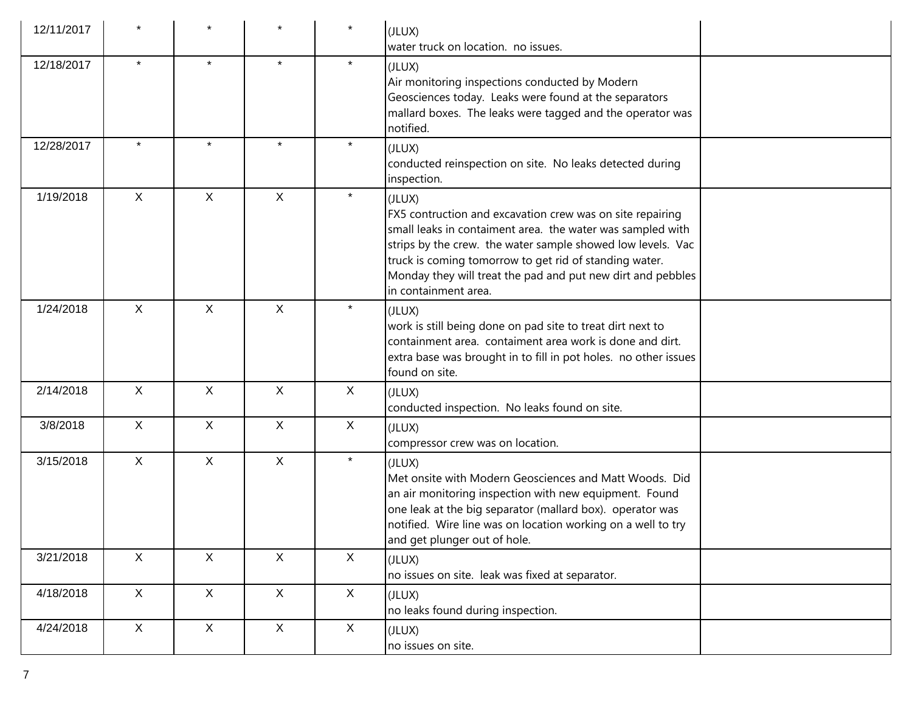| 12/11/2017 |              |              |              |              | (JLUX)<br>water truck on location. no issues.                                                                                                                                                                                                                                                                                                     |
|------------|--------------|--------------|--------------|--------------|---------------------------------------------------------------------------------------------------------------------------------------------------------------------------------------------------------------------------------------------------------------------------------------------------------------------------------------------------|
| 12/18/2017 | $\star$      | $\star$      | $\star$      | $\star$      | (JLUX)<br>Air monitoring inspections conducted by Modern<br>Geosciences today. Leaks were found at the separators<br>mallard boxes. The leaks were tagged and the operator was<br>notified.                                                                                                                                                       |
| 12/28/2017 |              |              | $\star$      |              | (JLUX)<br>conducted reinspection on site. No leaks detected during<br>inspection.                                                                                                                                                                                                                                                                 |
| 1/19/2018  | $\mathsf{X}$ | $\mathsf{X}$ | X            | $\star$      | (JLUX)<br>FX5 contruction and excavation crew was on site repairing<br>small leaks in contaiment area. the water was sampled with<br>strips by the crew. the water sample showed low levels. Vac<br>truck is coming tomorrow to get rid of standing water.<br>Monday they will treat the pad and put new dirt and pebbles<br>in containment area. |
| 1/24/2018  | $\mathsf{X}$ | X            | X            | $\star$      | (JLUX)<br>work is still being done on pad site to treat dirt next to<br>containment area. contaiment area work is done and dirt.<br>extra base was brought in to fill in pot holes. no other issues<br>found on site.                                                                                                                             |
| 2/14/2018  | $\mathsf{X}$ | $\sf X$      | $\mathsf{X}$ | X            | (JLUX)<br>conducted inspection. No leaks found on site.                                                                                                                                                                                                                                                                                           |
| 3/8/2018   | $\mathsf{X}$ | $\mathsf{X}$ | X            | $\mathsf{X}$ | (JLUX)<br>compressor crew was on location.                                                                                                                                                                                                                                                                                                        |
| 3/15/2018  | $\mathsf{X}$ | X            | X            | $\star$      | (JLUX)<br>Met onsite with Modern Geosciences and Matt Woods. Did<br>an air monitoring inspection with new equipment. Found<br>one leak at the big separator (mallard box). operator was<br>notified. Wire line was on location working on a well to try<br>and get plunger out of hole.                                                           |
| 3/21/2018  | X            | $\mathsf{X}$ | $\mathsf{X}$ | $\mathsf{X}$ | (JLUX)<br>no issues on site. leak was fixed at separator.                                                                                                                                                                                                                                                                                         |
| 4/18/2018  | X            | $\mathsf{X}$ | $\mathsf{X}$ | X            | (JLUX)<br>no leaks found during inspection.                                                                                                                                                                                                                                                                                                       |
| 4/24/2018  | X            | $\mathsf{X}$ | $\mathsf{X}$ | $\mathsf{X}$ | (JLUX)<br>no issues on site.                                                                                                                                                                                                                                                                                                                      |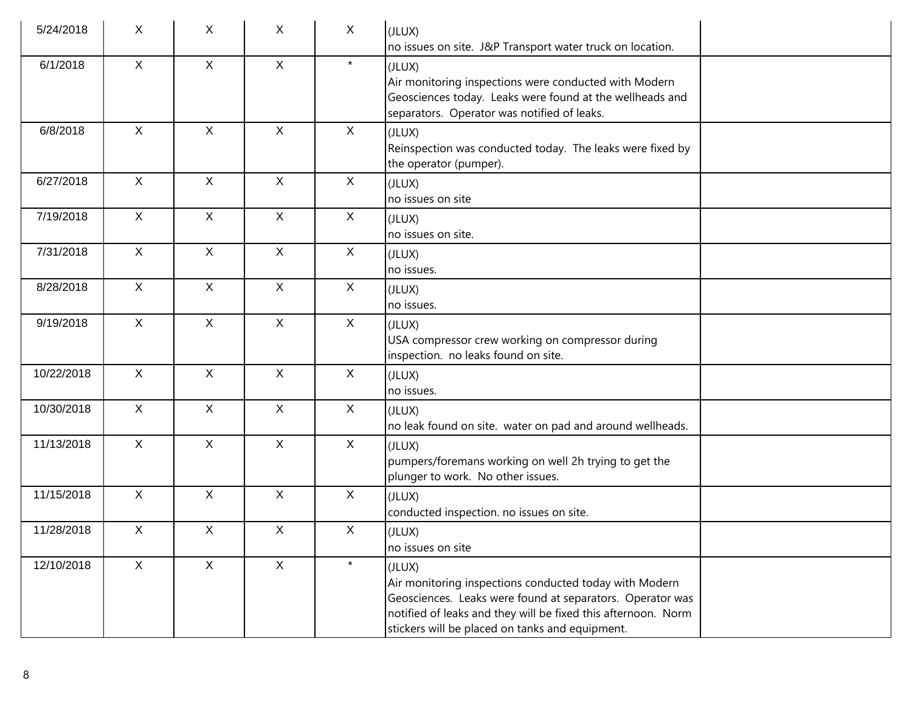| 5/24/2018  | X            | X            | $\mathsf{X}$ | $\sf X$      | (JLUX)<br>no issues on site. J&P Transport water truck on location.                                                                                                                                                                               |
|------------|--------------|--------------|--------------|--------------|---------------------------------------------------------------------------------------------------------------------------------------------------------------------------------------------------------------------------------------------------|
| 6/1/2018   | $\mathsf{X}$ | $\mathsf{X}$ | $\mathsf X$  | $\star$      | (JLUX)<br>Air monitoring inspections were conducted with Modern<br>Geosciences today. Leaks were found at the wellheads and<br>separators. Operator was notified of leaks.                                                                        |
| 6/8/2018   | X            | X            | $\mathsf{X}$ | $\mathsf{X}$ | (JLUX)<br>Reinspection was conducted today. The leaks were fixed by<br>the operator (pumper).                                                                                                                                                     |
| 6/27/2018  | $\mathsf{X}$ | $\mathsf{X}$ | $\mathsf X$  | X            | (JLUX)<br>no issues on site                                                                                                                                                                                                                       |
| 7/19/2018  | $\mathsf{X}$ | $\mathsf{X}$ | $\mathsf{X}$ | $\mathsf{X}$ | (JLUX)<br>no issues on site.                                                                                                                                                                                                                      |
| 7/31/2018  | $\mathsf{X}$ | $\mathsf{X}$ | $\mathsf X$  | $\mathsf{X}$ | (JLUX)<br>no issues.                                                                                                                                                                                                                              |
| 8/28/2018  | $\mathsf{X}$ | $\mathsf{X}$ | $\mathsf{X}$ | $\mathsf{X}$ | (JLUX)<br>no issues.                                                                                                                                                                                                                              |
| 9/19/2018  | $\mathsf{X}$ | $\mathsf{X}$ | $\mathsf{X}$ | $\mathsf{X}$ | (JLUX)<br>USA compressor crew working on compressor during<br>inspection. no leaks found on site.                                                                                                                                                 |
| 10/22/2018 | $\mathsf{X}$ | $\mathsf{X}$ | $\mathsf{X}$ | $\mathsf{X}$ | (JLUX)<br>no issues.                                                                                                                                                                                                                              |
| 10/30/2018 | $\mathsf{X}$ | $\mathsf{X}$ | $\mathsf{X}$ | $\sf X$      | (JLUX)<br>no leak found on site. water on pad and around wellheads.                                                                                                                                                                               |
| 11/13/2018 | $\mathsf{X}$ | $\mathsf{X}$ | $\mathsf{X}$ | X            | (JLUX)<br>pumpers/foremans working on well 2h trying to get the<br>plunger to work. No other issues.                                                                                                                                              |
| 11/15/2018 | $\mathsf{X}$ | $\mathsf{X}$ | $\mathsf{X}$ | $\mathsf{X}$ | (JLUX)<br>conducted inspection. no issues on site.                                                                                                                                                                                                |
| 11/28/2018 | X            | X            | $\mathsf X$  | $\mathsf X$  | (JLUX)<br>no issues on site                                                                                                                                                                                                                       |
| 12/10/2018 | $\mathsf{X}$ | X            | $\mathsf{X}$ | $\star$      | (JLUX)<br>Air monitoring inspections conducted today with Modern<br>Geosciences. Leaks were found at separators. Operator was<br>notified of leaks and they will be fixed this afternoon. Norm<br>stickers will be placed on tanks and equipment. |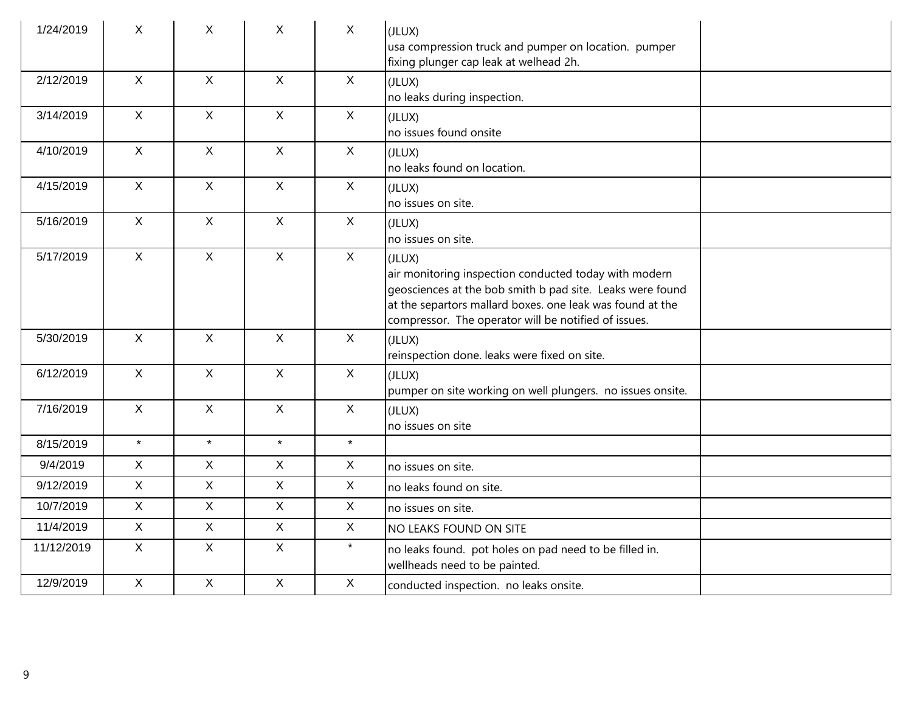| 1/24/2019  | X            | X            | $\mathsf{X}$ | $\mathsf X$  | (JLUX)<br>usa compression truck and pumper on location. pumper<br>fixing plunger cap leak at welhead 2h.                                                                                                                                          |
|------------|--------------|--------------|--------------|--------------|---------------------------------------------------------------------------------------------------------------------------------------------------------------------------------------------------------------------------------------------------|
| 2/12/2019  | $\mathsf{X}$ | $\mathsf{X}$ | $\mathsf{X}$ | $\mathsf{X}$ | (JLUX)<br>no leaks during inspection.                                                                                                                                                                                                             |
| 3/14/2019  | $\mathsf{X}$ | $\mathsf{X}$ | $\mathsf{X}$ | $\mathsf{X}$ | (JLUX)<br>no issues found onsite                                                                                                                                                                                                                  |
| 4/10/2019  | $\mathsf{X}$ | $\mathsf{X}$ | $\mathsf{X}$ | $\mathsf X$  | (JLUX)<br>no leaks found on location.                                                                                                                                                                                                             |
| 4/15/2019  | $\mathsf{X}$ | $\mathsf{X}$ | $\mathsf{X}$ | $\mathsf{X}$ | (JLUX)<br>no issues on site.                                                                                                                                                                                                                      |
| 5/16/2019  | $\mathsf{X}$ | $\mathsf{X}$ | $\mathsf{X}$ | $\mathsf{X}$ | (JLUX)<br>no issues on site.                                                                                                                                                                                                                      |
| 5/17/2019  | $\mathsf{X}$ | $\mathsf{X}$ | $\mathsf{X}$ | $\mathsf{X}$ | (JLUX)<br>air monitoring inspection conducted today with modern<br>geosciences at the bob smith b pad site. Leaks were found<br>at the separtors mallard boxes. one leak was found at the<br>compressor. The operator will be notified of issues. |
| 5/30/2019  | $\mathsf{X}$ | $\mathsf{X}$ | $\mathsf{X}$ | X            | (JLUX)<br>reinspection done. leaks were fixed on site.                                                                                                                                                                                            |
| 6/12/2019  | $\mathsf{X}$ | $\mathsf{X}$ | $\mathsf{X}$ | $\mathsf{X}$ | (JLUX)<br>pumper on site working on well plungers. no issues onsite.                                                                                                                                                                              |
| 7/16/2019  | $\mathsf{X}$ | $\mathsf{X}$ | $\mathsf{X}$ | $\mathsf{X}$ | (JLUX)<br>no issues on site                                                                                                                                                                                                                       |
| 8/15/2019  | $\star$      | $\star$      | $\star$      | $\star$      |                                                                                                                                                                                                                                                   |
| 9/4/2019   | $\mathsf{X}$ | $\mathsf{X}$ | $\mathsf{X}$ | $\mathsf{X}$ | no issues on site.                                                                                                                                                                                                                                |
| 9/12/2019  | $\mathsf{X}$ | X            | $\mathsf{X}$ | $\mathsf{X}$ | no leaks found on site.                                                                                                                                                                                                                           |
| 10/7/2019  | $\mathsf{X}$ | $\mathsf{X}$ | $\mathsf{X}$ | $\mathsf X$  | no issues on site.                                                                                                                                                                                                                                |
| 11/4/2019  | $\mathsf{X}$ | $\mathsf{X}$ | $\mathsf{X}$ | $\mathsf{X}$ | NO LEAKS FOUND ON SITE                                                                                                                                                                                                                            |
| 11/12/2019 | $\mathsf{X}$ | $\mathsf{X}$ | $\mathsf{X}$ | $\star$      | no leaks found. pot holes on pad need to be filled in.<br>wellheads need to be painted.                                                                                                                                                           |
| 12/9/2019  | $\mathsf X$  | $\mathsf{X}$ | $\mathsf X$  | $\mathsf X$  | conducted inspection. no leaks onsite.                                                                                                                                                                                                            |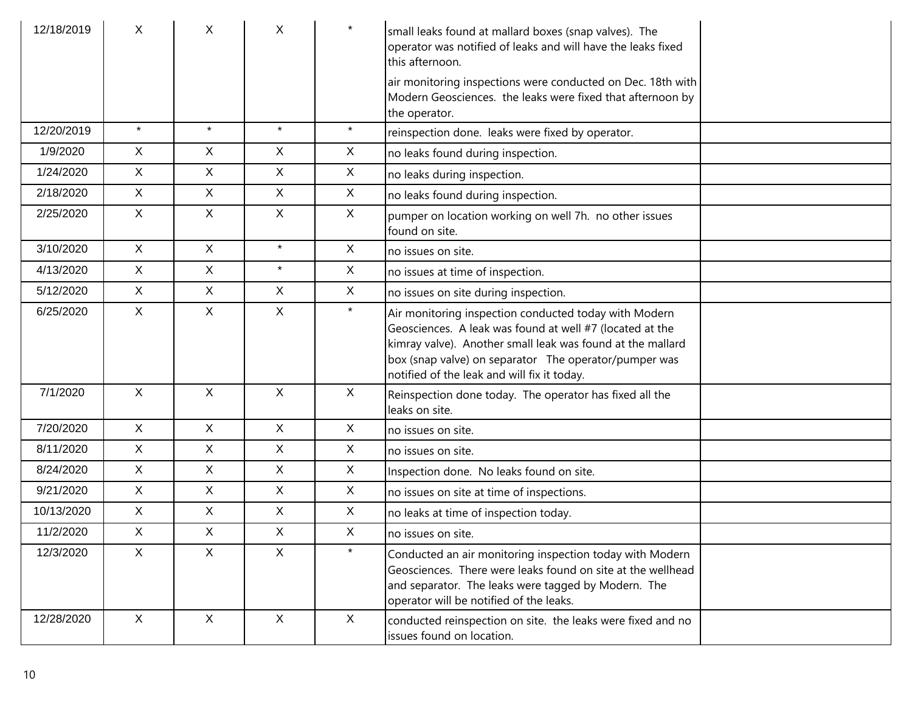| 12/18/2019 | X            | X            | X            | $\star$      | small leaks found at mallard boxes (snap valves). The<br>operator was notified of leaks and will have the leaks fixed<br>this afternoon.<br>air monitoring inspections were conducted on Dec. 18th with<br>Modern Geosciences. the leaks were fixed that afternoon by<br>the operator.  |  |
|------------|--------------|--------------|--------------|--------------|-----------------------------------------------------------------------------------------------------------------------------------------------------------------------------------------------------------------------------------------------------------------------------------------|--|
| 12/20/2019 | $\star$      | $\star$      | $\star$      | $\star$      | reinspection done. leaks were fixed by operator.                                                                                                                                                                                                                                        |  |
| 1/9/2020   | $\mathsf{X}$ | X            | X            | $\mathsf{X}$ | no leaks found during inspection.                                                                                                                                                                                                                                                       |  |
| 1/24/2020  | $\mathsf{X}$ | X            | X            | X            | no leaks during inspection.                                                                                                                                                                                                                                                             |  |
| 2/18/2020  | $\mathsf{X}$ | $\mathsf{X}$ | $\mathsf{X}$ | $\mathsf{X}$ | no leaks found during inspection.                                                                                                                                                                                                                                                       |  |
| 2/25/2020  | X            | X            | X            | $\mathsf{X}$ | pumper on location working on well 7h. no other issues<br>found on site.                                                                                                                                                                                                                |  |
| 3/10/2020  | X            | $\mathsf{X}$ | $\star$      | $\mathsf{X}$ | no issues on site.                                                                                                                                                                                                                                                                      |  |
| 4/13/2020  | X            | X            | $\star$      | $\mathsf{X}$ | no issues at time of inspection.                                                                                                                                                                                                                                                        |  |
| 5/12/2020  | $\mathsf{X}$ | $\mathsf{X}$ | X            | $\mathsf{X}$ | no issues on site during inspection.                                                                                                                                                                                                                                                    |  |
| 6/25/2020  | X            | X            | X            | $\star$      | Air monitoring inspection conducted today with Modern<br>Geosciences. A leak was found at well #7 (located at the<br>kimray valve). Another small leak was found at the mallard<br>box (snap valve) on separator The operator/pumper was<br>notified of the leak and will fix it today. |  |
| 7/1/2020   | $\mathsf{X}$ | $\mathsf{X}$ | $\mathsf{X}$ | $\mathsf{X}$ | Reinspection done today. The operator has fixed all the<br>leaks on site.                                                                                                                                                                                                               |  |
| 7/20/2020  | $\mathsf{X}$ | $\mathsf{X}$ | $\mathsf{X}$ | $\mathsf{X}$ | no issues on site.                                                                                                                                                                                                                                                                      |  |
| 8/11/2020  | $\mathsf{X}$ | X            | X            | $\mathsf{X}$ | no issues on site.                                                                                                                                                                                                                                                                      |  |
| 8/24/2020  | $\mathsf{X}$ | $\mathsf{X}$ | $\mathsf{X}$ | $\mathsf{X}$ | Inspection done. No leaks found on site.                                                                                                                                                                                                                                                |  |
| 9/21/2020  | $\mathsf{X}$ | X            | X            | X            | no issues on site at time of inspections.                                                                                                                                                                                                                                               |  |
| 10/13/2020 | $\mathsf{X}$ | $\mathsf{X}$ | $\mathsf{X}$ | $\mathsf X$  | no leaks at time of inspection today.                                                                                                                                                                                                                                                   |  |
| 11/2/2020  | X            | X            | X            | $\mathsf{X}$ | no issues on site.                                                                                                                                                                                                                                                                      |  |
| 12/3/2020  | $\mathsf{X}$ | $\mathsf{X}$ | X            | $\star$      | Conducted an air monitoring inspection today with Modern<br>Geosciences. There were leaks found on site at the wellhead<br>and separator. The leaks were tagged by Modern. The<br>operator will be notified of the leaks.                                                               |  |
| 12/28/2020 | X            | X            | X            | X            | conducted reinspection on site. the leaks were fixed and no<br>issues found on location.                                                                                                                                                                                                |  |